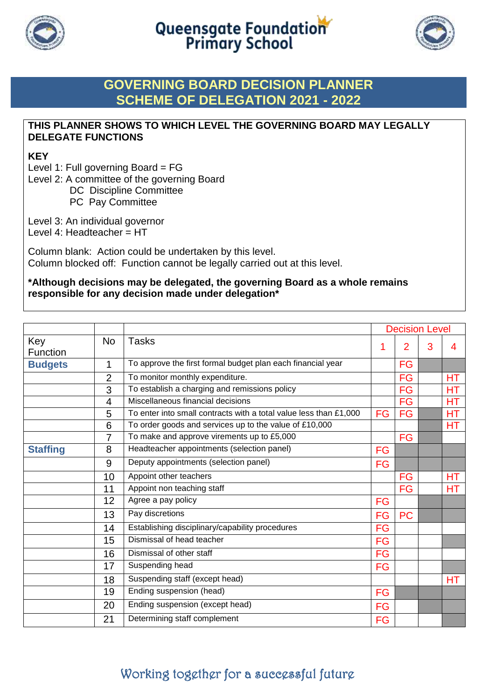



## **GOVERNING BOARD DECISION PLANNER SCHEME OF DELEGATION 2021 - 2022**

## **THIS PLANNER SHOWS TO WHICH LEVEL THE GOVERNING BOARD MAY LEGALLY DELEGATE FUNCTIONS**

## **KEY**

Level 1: Full governing Board = FG

Level 2: A committee of the governing Board

DC Discipline Committee

PC Pay Committee

Level 3: An individual governor

Level 4: Headteacher = HT

Column blank: Action could be undertaken by this level. Column blocked off: Function cannot be legally carried out at this level.

### **\*Although decisions may be delegated, the governing Board as a whole remains responsible for any decision made under delegation\***

|                 |                |                                                                   | <b>Decision Level</b> |                |   |           |
|-----------------|----------------|-------------------------------------------------------------------|-----------------------|----------------|---|-----------|
| Key<br>Function | <b>No</b>      | <b>Tasks</b>                                                      | 1                     | $\overline{2}$ | 3 | 4         |
| <b>Budgets</b>  | 1              | To approve the first formal budget plan each financial year       |                       | FG             |   |           |
|                 | $\overline{2}$ | To monitor monthly expenditure.                                   |                       | <b>FG</b>      |   | <b>HT</b> |
|                 | 3              | To establish a charging and remissions policy                     |                       | FG             |   | НT        |
|                 | 4              | Miscellaneous financial decisions                                 |                       | <b>FG</b>      |   | HT.       |
|                 | 5              | To enter into small contracts with a total value less than £1,000 | <b>FG</b>             | <b>FG</b>      |   | НT        |
|                 | 6              | To order goods and services up to the value of £10,000            |                       |                |   | HT.       |
|                 | $\overline{7}$ | To make and approve virements up to £5,000                        |                       | <b>FG</b>      |   |           |
| <b>Staffing</b> | 8              | Headteacher appointments (selection panel)                        | FG                    |                |   |           |
|                 | 9              | Deputy appointments (selection panel)                             | FG                    |                |   |           |
|                 | 10             | Appoint other teachers                                            |                       | FG             |   | HT        |
|                 | 11             | Appoint non teaching staff                                        |                       | FG             |   | ΗT        |
|                 | 12             | Agree a pay policy                                                | <b>FG</b>             |                |   |           |
|                 | 13             | Pay discretions                                                   | <b>FG</b>             | <b>PC</b>      |   |           |
|                 | 14             | Establishing disciplinary/capability procedures                   | FG                    |                |   |           |
|                 | 15             | Dismissal of head teacher                                         | <b>FG</b>             |                |   |           |
|                 | 16             | Dismissal of other staff                                          | FG                    |                |   |           |
|                 | 17             | Suspending head                                                   | FG                    |                |   |           |
|                 | 18             | Suspending staff (except head)                                    |                       |                |   | НT        |
|                 | 19             | Ending suspension (head)                                          | FG                    |                |   |           |
|                 | 20             | Ending suspension (except head)                                   | <b>FG</b>             |                |   |           |
|                 | 21             | Determining staff complement                                      | <b>FG</b>             |                |   |           |

# Working together for a successful future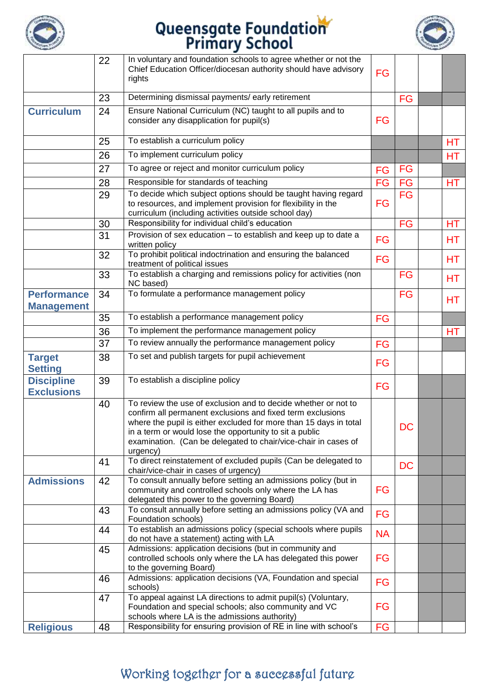



|                                         | 22 | In voluntary and foundation schools to agree whether or not the<br>Chief Education Officer/diocesan authority should have advisory<br>rights                                                                                                                                                                                               | <b>FG</b> |           |           |
|-----------------------------------------|----|--------------------------------------------------------------------------------------------------------------------------------------------------------------------------------------------------------------------------------------------------------------------------------------------------------------------------------------------|-----------|-----------|-----------|
|                                         | 23 | Determining dismissal payments/ early retirement                                                                                                                                                                                                                                                                                           |           | FG        |           |
| <b>Curriculum</b>                       | 24 | Ensure National Curriculum (NC) taught to all pupils and to<br>consider any disapplication for pupil(s)                                                                                                                                                                                                                                    | FG        |           |           |
|                                         | 25 | To establish a curriculum policy                                                                                                                                                                                                                                                                                                           |           |           | HT        |
|                                         | 26 | To implement curriculum policy                                                                                                                                                                                                                                                                                                             |           |           | <b>HT</b> |
|                                         | 27 | To agree or reject and monitor curriculum policy                                                                                                                                                                                                                                                                                           | <b>FG</b> | FG        |           |
|                                         | 28 | Responsible for standards of teaching                                                                                                                                                                                                                                                                                                      | FG        | FG        | HТ        |
|                                         | 29 | To decide which subject options should be taught having regard<br>to resources, and implement provision for flexibility in the<br>curriculum (including activities outside school day)                                                                                                                                                     | FG        | <b>FG</b> |           |
|                                         | 30 | Responsibility for individual child's education                                                                                                                                                                                                                                                                                            |           | <b>FG</b> | HT.       |
|                                         | 31 | Provision of sex education - to establish and keep up to date a<br>written policy                                                                                                                                                                                                                                                          | FG        |           | HТ        |
|                                         | 32 | To prohibit political indoctrination and ensuring the balanced<br>treatment of political issues                                                                                                                                                                                                                                            | <b>FG</b> |           | HТ        |
|                                         | 33 | To establish a charging and remissions policy for activities (non<br>NC based)                                                                                                                                                                                                                                                             |           | <b>FG</b> | HТ        |
| <b>Performance</b><br><b>Management</b> | 34 | To formulate a performance management policy                                                                                                                                                                                                                                                                                               |           | <b>FG</b> | HT        |
|                                         | 35 | To establish a performance management policy                                                                                                                                                                                                                                                                                               | <b>FG</b> |           |           |
|                                         | 36 | To implement the performance management policy                                                                                                                                                                                                                                                                                             |           |           | HТ        |
|                                         | 37 | To review annually the performance management policy                                                                                                                                                                                                                                                                                       | <b>FG</b> |           |           |
| <b>Target</b><br><b>Setting</b>         | 38 | To set and publish targets for pupil achievement                                                                                                                                                                                                                                                                                           | FG        |           |           |
| <b>Discipline</b><br><b>Exclusions</b>  | 39 | To establish a discipline policy                                                                                                                                                                                                                                                                                                           | FG        |           |           |
|                                         | 40 | To review the use of exclusion and to decide whether or not to<br>confirm all permanent exclusions and fixed term exclusions<br>where the pupil is either excluded for more than 15 days in total<br>in a term or would lose the opportunity to sit a public<br>examination. (Can be delegated to chair/vice-chair in cases of<br>urgency) |           | DC        |           |
|                                         | 41 | To direct reinstatement of excluded pupils (Can be delegated to<br>chair/vice-chair in cases of urgency)                                                                                                                                                                                                                                   |           | <b>DC</b> |           |
| <b>Admissions</b>                       | 42 | To consult annually before setting an admissions policy (but in<br>community and controlled schools only where the LA has<br>delegated this power to the governing Board)                                                                                                                                                                  | FG        |           |           |
|                                         | 43 | To consult annually before setting an admissions policy (VA and<br>Foundation schools)                                                                                                                                                                                                                                                     | FG        |           |           |
|                                         | 44 | To establish an admissions policy (special schools where pupils<br>do not have a statement) acting with LA                                                                                                                                                                                                                                 | <b>NA</b> |           |           |
|                                         | 45 | Admissions: application decisions (but in community and<br>controlled schools only where the LA has delegated this power<br>to the governing Board)                                                                                                                                                                                        | FG        |           |           |
|                                         | 46 | Admissions: application decisions (VA, Foundation and special<br>schools)                                                                                                                                                                                                                                                                  | FG        |           |           |
|                                         | 47 | To appeal against LA directions to admit pupil(s) (Voluntary,<br>Foundation and special schools; also community and VC<br>schools where LA is the admissions authority)                                                                                                                                                                    | FG        |           |           |
| <b>Religious</b>                        | 48 | Responsibility for ensuring provision of RE in line with school's                                                                                                                                                                                                                                                                          | FG        |           |           |

# Working together for a successful future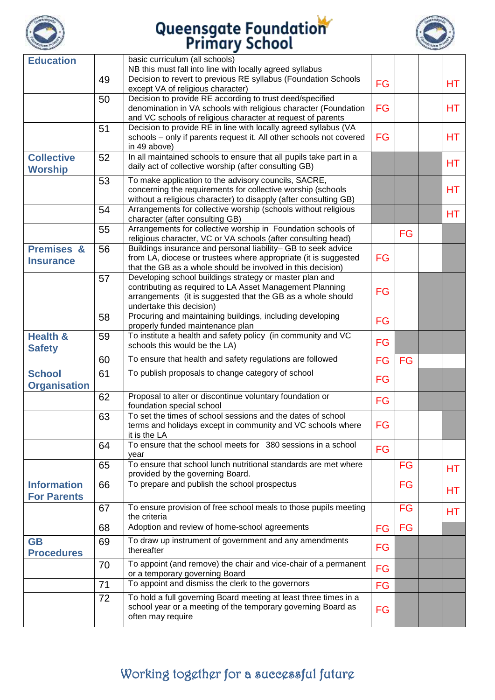



| <b>Education</b>                          |    | basic curriculum (all schools)<br>NB this must fall into line with locally agreed syllabus                                                                                                                     |           |           |           |
|-------------------------------------------|----|----------------------------------------------------------------------------------------------------------------------------------------------------------------------------------------------------------------|-----------|-----------|-----------|
|                                           | 49 | Decision to revert to previous RE syllabus (Foundation Schools                                                                                                                                                 | <b>FG</b> |           | HT.       |
|                                           | 50 | except VA of religious character)<br>Decision to provide RE according to trust deed/specified                                                                                                                  |           |           |           |
|                                           |    | denomination in VA schools with religious character (Foundation<br>and VC schools of religious character at request of parents                                                                                 | <b>FG</b> |           | <b>HT</b> |
|                                           | 51 | Decision to provide RE in line with locally agreed syllabus (VA<br>schools - only if parents request it. All other schools not covered<br>in 49 above)                                                         | FG        |           | HT.       |
| <b>Collective</b><br><b>Worship</b>       | 52 | In all maintained schools to ensure that all pupils take part in a<br>daily act of collective worship (after consulting GB)                                                                                    |           |           | <b>HT</b> |
|                                           | 53 | To make application to the advisory councils, SACRE,<br>concerning the requirements for collective worship (schools<br>without a religious character) to disapply (after consulting GB)                        |           |           | <b>HT</b> |
|                                           | 54 | Arrangements for collective worship (schools without religious<br>character (after consulting GB)                                                                                                              |           |           | HT.       |
|                                           | 55 | Arrangements for collective worship in Foundation schools of<br>religious character, VC or VA schools (after consulting head)                                                                                  |           | <b>FG</b> |           |
| <b>Premises &amp;</b><br><b>Insurance</b> | 56 | Buildings insurance and personal liability- GB to seek advice<br>from LA, diocese or trustees where appropriate (it is suggested<br>that the GB as a whole should be involved in this decision)                | <b>FG</b> |           |           |
|                                           | 57 | Developing school buildings strategy or master plan and<br>contributing as required to LA Asset Management Planning<br>arrangements (it is suggested that the GB as a whole should<br>undertake this decision) | FG        |           |           |
|                                           | 58 | Procuring and maintaining buildings, including developing<br>properly funded maintenance plan                                                                                                                  | <b>FG</b> |           |           |
| <b>Health &amp;</b><br><b>Safety</b>      | 59 | To institute a health and safety policy (in community and VC<br>schools this would be the LA)                                                                                                                  | <b>FG</b> |           |           |
|                                           | 60 | To ensure that health and safety regulations are followed                                                                                                                                                      | <b>FG</b> | FG        |           |
| <b>School</b><br><b>Organisation</b>      | 61 | To publish proposals to change category of school                                                                                                                                                              | <b>FG</b> |           |           |
|                                           | 62 | Proposal to alter or discontinue voluntary foundation or<br>foundation special school                                                                                                                          | <b>FG</b> |           |           |
|                                           | 63 | To set the times of school sessions and the dates of school<br>terms and holidays except in community and VC schools where<br>it is the LA                                                                     | FG        |           |           |
|                                           | 64 | To ensure that the school meets for 380 sessions in a school<br>year                                                                                                                                           | <b>FG</b> |           |           |
|                                           | 65 | To ensure that school lunch nutritional standards are met where<br>provided by the governing Board.                                                                                                            |           | <b>FG</b> | HТ        |
| <b>Information</b><br><b>For Parents</b>  | 66 | To prepare and publish the school prospectus                                                                                                                                                                   |           | FG        | HТ        |
|                                           | 67 | To ensure provision of free school meals to those pupils meeting<br>the criteria                                                                                                                               |           | FG        | HT        |
|                                           | 68 | Adoption and review of home-school agreements                                                                                                                                                                  | FG        | <b>FG</b> |           |
| <b>GB</b><br><b>Procedures</b>            | 69 | To draw up instrument of government and any amendments<br>thereafter                                                                                                                                           | FG        |           |           |
|                                           | 70 | To appoint (and remove) the chair and vice-chair of a permanent<br>or a temporary governing Board                                                                                                              | FG        |           |           |
|                                           | 71 | To appoint and dismiss the clerk to the governors                                                                                                                                                              | <b>FG</b> |           |           |
|                                           | 72 | To hold a full governing Board meeting at least three times in a<br>school year or a meeting of the temporary governing Board as<br>often may require                                                          | FG        |           |           |
|                                           |    |                                                                                                                                                                                                                |           |           |           |

# Working together for a successful future